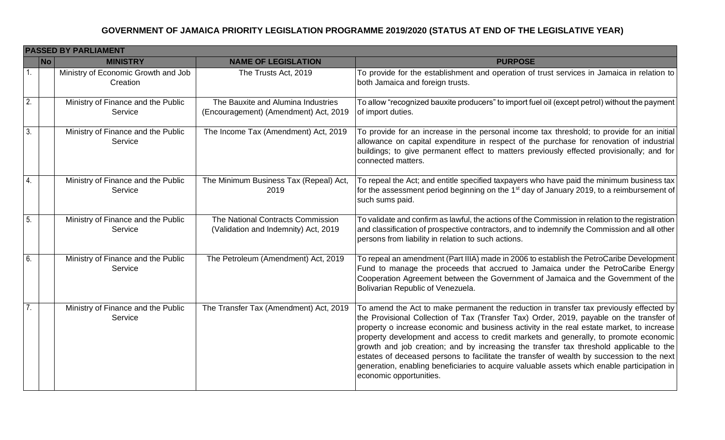|                  | <b>PASSED BY PARLIAMENT</b>                     |                                                                             |                                                                                                                                                                                                                                                                                                                                                                                                                                                                                                                                                                                                                                                                                             |  |  |  |
|------------------|-------------------------------------------------|-----------------------------------------------------------------------------|---------------------------------------------------------------------------------------------------------------------------------------------------------------------------------------------------------------------------------------------------------------------------------------------------------------------------------------------------------------------------------------------------------------------------------------------------------------------------------------------------------------------------------------------------------------------------------------------------------------------------------------------------------------------------------------------|--|--|--|
| No               | <b>MINISTRY</b>                                 | <b>NAME OF LEGISLATION</b>                                                  | <b>PURPOSE</b>                                                                                                                                                                                                                                                                                                                                                                                                                                                                                                                                                                                                                                                                              |  |  |  |
| $\mathbf{1}$ .   | Ministry of Economic Growth and Job<br>Creation | The Trusts Act, 2019                                                        | To provide for the establishment and operation of trust services in Jamaica in relation to<br>both Jamaica and foreign trusts.                                                                                                                                                                                                                                                                                                                                                                                                                                                                                                                                                              |  |  |  |
| $\overline{2}$ . | Ministry of Finance and the Public<br>Service   | The Bauxite and Alumina Industries<br>(Encouragement) (Amendment) Act, 2019 | To allow "recognized bauxite producers" to import fuel oil (except petrol) without the payment<br>of import duties.                                                                                                                                                                                                                                                                                                                                                                                                                                                                                                                                                                         |  |  |  |
| 3.               | Ministry of Finance and the Public<br>Service   | The Income Tax (Amendment) Act, 2019                                        | To provide for an increase in the personal income tax threshold; to provide for an initial<br>allowance on capital expenditure in respect of the purchase for renovation of industrial<br>buildings; to give permanent effect to matters previously effected provisionally; and for<br>connected matters.                                                                                                                                                                                                                                                                                                                                                                                   |  |  |  |
| $\overline{4}$   | Ministry of Finance and the Public<br>Service   | The Minimum Business Tax (Repeal) Act,<br>2019                              | To repeal the Act; and entitle specified taxpayers who have paid the minimum business tax<br>for the assessment period beginning on the 1 <sup>st</sup> day of January 2019, to a reimbursement of<br>such sums paid.                                                                                                                                                                                                                                                                                                                                                                                                                                                                       |  |  |  |
| 5.               | Ministry of Finance and the Public<br>Service   | The National Contracts Commission<br>(Validation and Indemnity) Act, 2019   | To validate and confirm as lawful, the actions of the Commission in relation to the registration<br>and classification of prospective contractors, and to indemnify the Commission and all other<br>persons from liability in relation to such actions.                                                                                                                                                                                                                                                                                                                                                                                                                                     |  |  |  |
| 6.               | Ministry of Finance and the Public<br>Service   | The Petroleum (Amendment) Act, 2019                                         | To repeal an amendment (Part IIIA) made in 2006 to establish the PetroCaribe Development<br>Fund to manage the proceeds that accrued to Jamaica under the PetroCaribe Energy<br>Cooperation Agreement between the Government of Jamaica and the Government of the<br>Bolivarian Republic of Venezuela.                                                                                                                                                                                                                                                                                                                                                                                      |  |  |  |
| 7.               | Ministry of Finance and the Public<br>Service   | The Transfer Tax (Amendment) Act, 2019                                      | To amend the Act to make permanent the reduction in transfer tax previously effected by<br>the Provisional Collection of Tax (Transfer Tax) Order, 2019, payable on the transfer of<br>property o increase economic and business activity in the real estate market, to increase<br>property development and access to credit markets and generally, to promote economic<br>growth and job creation; and by increasing the transfer tax threshold applicable to the<br>estates of deceased persons to facilitate the transfer of wealth by succession to the next<br>generation, enabling beneficiaries to acquire valuable assets which enable participation in<br>economic opportunities. |  |  |  |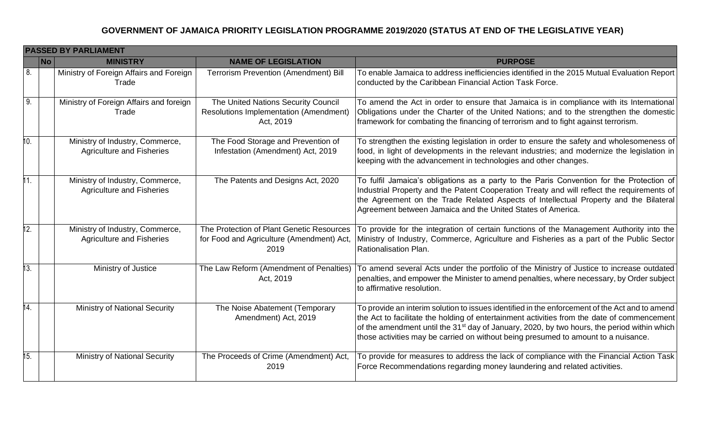|     | <b>PASSED BY PARLIAMENT</b> |                                                                     |                                                                                                |                                                                                                                                                                                                                                                                                                                                                                                                |  |
|-----|-----------------------------|---------------------------------------------------------------------|------------------------------------------------------------------------------------------------|------------------------------------------------------------------------------------------------------------------------------------------------------------------------------------------------------------------------------------------------------------------------------------------------------------------------------------------------------------------------------------------------|--|
|     | <b>No</b>                   | <b>MINISTRY</b>                                                     | <b>NAME OF LEGISLATION</b>                                                                     | <b>PURPOSE</b>                                                                                                                                                                                                                                                                                                                                                                                 |  |
| 8.  |                             | Ministry of Foreign Affairs and Foreign<br>Trade                    | <b>Terrorism Prevention (Amendment) Bill</b>                                                   | To enable Jamaica to address inefficiencies identified in the 2015 Mutual Evaluation Report<br>conducted by the Caribbean Financial Action Task Force.                                                                                                                                                                                                                                         |  |
| 9.  |                             | Ministry of Foreign Affairs and foreign<br>Trade                    | The United Nations Security Council<br>Resolutions Implementation (Amendment)<br>Act, 2019     | To amend the Act in order to ensure that Jamaica is in compliance with its International<br>Obligations under the Charter of the United Nations; and to the strengthen the domestic<br>framework for combating the financing of terrorism and to fight against terrorism.                                                                                                                      |  |
| 10. |                             | Ministry of Industry, Commerce,<br><b>Agriculture and Fisheries</b> | The Food Storage and Prevention of<br>Infestation (Amendment) Act, 2019                        | To strengthen the existing legislation in order to ensure the safety and wholesomeness of<br>food, in light of developments in the relevant industries; and modernize the legislation in<br>keeping with the advancement in technologies and other changes.                                                                                                                                    |  |
| 11. |                             | Ministry of Industry, Commerce,<br><b>Agriculture and Fisheries</b> | The Patents and Designs Act, 2020                                                              | To fulfil Jamaica's obligations as a party to the Paris Convention for the Protection of<br>Industrial Property and the Patent Cooperation Treaty and will reflect the requirements of<br>the Agreement on the Trade Related Aspects of Intellectual Property and the Bilateral<br>Agreement between Jamaica and the United States of America.                                                 |  |
| 12. |                             | Ministry of Industry, Commerce,<br><b>Agriculture and Fisheries</b> | The Protection of Plant Genetic Resources<br>for Food and Agriculture (Amendment) Act,<br>2019 | To provide for the integration of certain functions of the Management Authority into the<br>Ministry of Industry, Commerce, Agriculture and Fisheries as a part of the Public Sector<br>Rationalisation Plan.                                                                                                                                                                                  |  |
| 13. |                             | Ministry of Justice                                                 | The Law Reform (Amendment of Penalties)<br>Act, 2019                                           | To amend several Acts under the portfolio of the Ministry of Justice to increase outdated<br>penalties, and empower the Minister to amend penalties, where necessary, by Order subject<br>to affirmative resolution.                                                                                                                                                                           |  |
| 14. |                             | <b>Ministry of National Security</b>                                | The Noise Abatement (Temporary<br>Amendment) Act, 2019                                         | To provide an interim solution to issues identified in the enforcement of the Act and to amend<br>the Act to facilitate the holding of entertainment activities from the date of commencement<br>of the amendment until the 31 <sup>st</sup> day of January, 2020, by two hours, the period within which<br>those activities may be carried on without being presumed to amount to a nuisance. |  |
| 15. |                             | <b>Ministry of National Security</b>                                | The Proceeds of Crime (Amendment) Act,<br>2019                                                 | To provide for measures to address the lack of compliance with the Financial Action Task<br>Force Recommendations regarding money laundering and related activities.                                                                                                                                                                                                                           |  |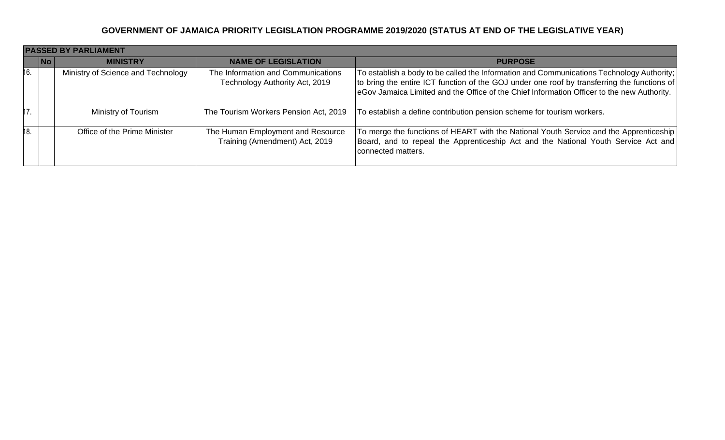|     | <b>PASSED BY PARLIAMENT</b>                 |                                                                      |                                                                                                                                                                                                                                                                                        |  |
|-----|---------------------------------------------|----------------------------------------------------------------------|----------------------------------------------------------------------------------------------------------------------------------------------------------------------------------------------------------------------------------------------------------------------------------------|--|
|     | $\overline{\mathsf{No}}$<br><b>MINISTRY</b> | <b>NAME OF LEGISLATION</b>                                           | <b>PURPOSE</b>                                                                                                                                                                                                                                                                         |  |
| 16. | Ministry of Science and Technology          | The Information and Communications<br>Technology Authority Act, 2019 | To establish a body to be called the Information and Communications Technology Authority;<br>to bring the entire ICT function of the GOJ under one roof by transferring the functions of<br>eGov Jamaica Limited and the Office of the Chief Information Officer to the new Authority. |  |
| 17  | Ministry of Tourism                         | The Tourism Workers Pension Act, 2019                                | To establish a define contribution pension scheme for tourism workers.                                                                                                                                                                                                                 |  |
| 18  | Office of the Prime Minister                | The Human Employment and Resource<br>Training (Amendment) Act, 2019  | To merge the functions of HEART with the National Youth Service and the Apprenticeship<br>Board, and to repeal the Apprenticeship Act and the National Youth Service Act and<br>connected matters.                                                                                     |  |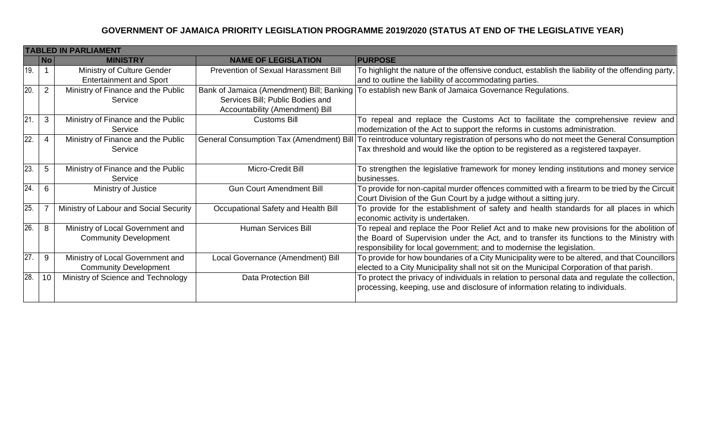|                 | <b>TABLED IN PARLIAMENT</b> |                                        |                                           |                                                                                                                                     |  |
|-----------------|-----------------------------|----------------------------------------|-------------------------------------------|-------------------------------------------------------------------------------------------------------------------------------------|--|
|                 | $\overline{\mathsf{No}}$    | <b>MINISTRY</b>                        | <b>NAME OF LEGISLATION</b>                | <b>PURPOSE</b>                                                                                                                      |  |
| 19.             |                             | Ministry of Culture Gender             | Prevention of Sexual Harassment Bill      | To highlight the nature of the offensive conduct, establish the liability of the offending party,                                   |  |
|                 |                             | <b>Entertainment and Sport</b>         |                                           | and to outline the liability of accommodating parties.                                                                              |  |
| $\overline{20}$ | 2                           | Ministry of Finance and the Public     | Bank of Jamaica (Amendment) Bill; Banking | To establish new Bank of Jamaica Governance Regulations.                                                                            |  |
|                 |                             | Service                                | Services Bill; Public Bodies and          |                                                                                                                                     |  |
|                 |                             |                                        | Accountability (Amendment) Bill           |                                                                                                                                     |  |
| $\overline{21}$ | 3                           | Ministry of Finance and the Public     | <b>Customs Bill</b>                       | To repeal and replace the Customs Act to facilitate the comprehensive review and                                                    |  |
|                 |                             | Service                                |                                           | modernization of the Act to support the reforms in customs administration.                                                          |  |
| $\overline{22}$ |                             | Ministry of Finance and the Public     |                                           | General Consumption Tax (Amendment) Bill   To reintroduce voluntary registration of persons who do not meet the General Consumption |  |
|                 |                             | Service                                |                                           | Tax threshold and would like the option to be registered as a registered taxpayer.                                                  |  |
|                 |                             |                                        |                                           |                                                                                                                                     |  |
| 23.             | 5                           | Ministry of Finance and the Public     | Micro-Credit Bill                         | To strengthen the legislative framework for money lending institutions and money service                                            |  |
|                 |                             | Service                                |                                           | businesses.                                                                                                                         |  |
| $\overline{24}$ | 6                           | Ministry of Justice                    | <b>Gun Court Amendment Bill</b>           | To provide for non-capital murder offences committed with a firearm to be tried by the Circuit                                      |  |
|                 |                             |                                        |                                           | Court Division of the Gun Court by a judge without a sitting jury.                                                                  |  |
| $\overline{25}$ |                             | Ministry of Labour and Social Security | Occupational Safety and Health Bill       | To provide for the establishment of safety and health standards for all places in which                                             |  |
|                 |                             |                                        |                                           | economic activity is undertaken.                                                                                                    |  |
| 26.             | 8                           | Ministry of Local Government and       | <b>Human Services Bill</b>                | To repeal and replace the Poor Relief Act and to make new provisions for the abolition of                                           |  |
|                 |                             | <b>Community Development</b>           |                                           | the Board of Supervision under the Act, and to transfer its functions to the Ministry with                                          |  |
|                 |                             |                                        |                                           | responsibility for local government; and to modernise the legislation.                                                              |  |
| $\overline{27}$ | 9                           | Ministry of Local Government and       | Local Governance (Amendment) Bill         | To provide for how boundaries of a City Municipality were to be altered, and that Councillors                                       |  |
|                 |                             | <b>Community Development</b>           |                                           | elected to a City Municipality shall not sit on the Municipal Corporation of that parish.                                           |  |
| 28.             | 10                          | Ministry of Science and Technology     | <b>Data Protection Bill</b>               | To protect the privacy of individuals in relation to personal data and regulate the collection,                                     |  |
|                 |                             |                                        |                                           | processing, keeping, use and disclosure of information relating to individuals.                                                     |  |
|                 |                             |                                        |                                           |                                                                                                                                     |  |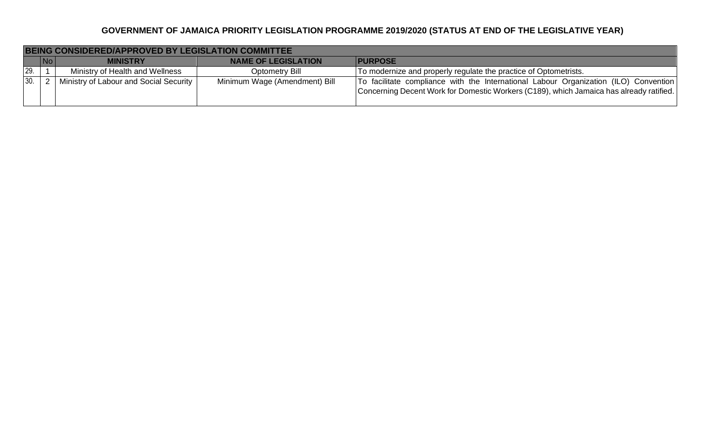|     |    | BEING CONSIDERED/APPROVED BY LEGISLATION COMMITTEE |                               |                                                                                                                                                                                   |
|-----|----|----------------------------------------------------|-------------------------------|-----------------------------------------------------------------------------------------------------------------------------------------------------------------------------------|
|     | No | <b>MINISTRY</b>                                    | <b>NAME OF LEGISLATION</b>    | <b>PURPOSE</b>                                                                                                                                                                    |
| 29. |    | Ministry of Health and Wellness                    | Optometry Bill                | To modernize and properly regulate the practice of Optometrists.                                                                                                                  |
| 30. |    | Ministry of Labour and Social Security             | Minimum Wage (Amendment) Bill | To facilitate compliance with the International Labour Organization (ILO) Convention  <br>Concerning Decent Work for Domestic Workers (C189), which Jamaica has already ratified. |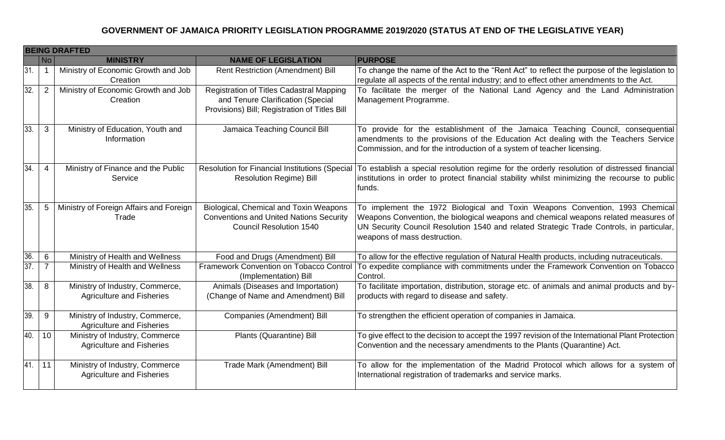|     |                          | <b>BEING DRAFTED</b>                                                |                                                                                                                                       |                                                                                                                                                                                                                                                                                                 |  |
|-----|--------------------------|---------------------------------------------------------------------|---------------------------------------------------------------------------------------------------------------------------------------|-------------------------------------------------------------------------------------------------------------------------------------------------------------------------------------------------------------------------------------------------------------------------------------------------|--|
|     | No                       | <b>MINISTRY</b>                                                     | <b>NAME OF LEGISLATION</b>                                                                                                            | <b>PURPOSE</b>                                                                                                                                                                                                                                                                                  |  |
| 31. | $\overline{\phantom{a}}$ | Ministry of Economic Growth and Job<br>Creation                     | Rent Restriction (Amendment) Bill                                                                                                     | To change the name of the Act to the "Rent Act" to reflect the purpose of the legislation to<br>regulate all aspects of the rental industry; and to effect other amendments to the Act.                                                                                                         |  |
| 32. | 2                        | Ministry of Economic Growth and Job<br>Creation                     | <b>Registration of Titles Cadastral Mapping</b><br>and Tenure Clarification (Special<br>Provisions) Bill; Registration of Titles Bill | To facilitate the merger of the National Land Agency and the Land Administration<br>Management Programme.                                                                                                                                                                                       |  |
| 33. | $\mathbf{3}$             | Ministry of Education, Youth and<br>Information                     | Jamaica Teaching Council Bill                                                                                                         | To provide for the establishment of the Jamaica Teaching Council, consequential<br>amendments to the provisions of the Education Act dealing with the Teachers Service<br>Commission, and for the introduction of a system of teacher licensing.                                                |  |
| 34. | $\overline{4}$           | Ministry of Finance and the Public<br>Service                       | <b>Resolution Regime) Bill</b>                                                                                                        | Resolution for Financial Institutions (Special   To establish a special resolution regime for the orderly resolution of distressed financial<br>institutions in order to protect financial stability whilst minimizing the recourse to public<br>funds.                                         |  |
| 35. | 5                        | Ministry of Foreign Affairs and Foreign<br>Trade                    | Biological, Chemical and Toxin Weapons<br><b>Conventions and United Nations Security</b><br><b>Council Resolution 1540</b>            | To implement the 1972 Biological and Toxin Weapons Convention, 1993 Chemical<br>Weapons Convention, the biological weapons and chemical weapons related measures of<br>UN Security Council Resolution 1540 and related Strategic Trade Controls, in particular,<br>weapons of mass destruction. |  |
| 36. | 6                        | Ministry of Health and Wellness                                     | Food and Drugs (Amendment) Bill                                                                                                       | To allow for the effective regulation of Natural Health products, including nutraceuticals.                                                                                                                                                                                                     |  |
| 37. | $\overline{7}$           | Ministry of Health and Wellness                                     | Framework Convention on Tobacco Control<br>(Implementation) Bill                                                                      | To expedite compliance with commitments under the Framework Convention on Tobacco<br>Control.                                                                                                                                                                                                   |  |
| 38. | 8                        | Ministry of Industry, Commerce,<br><b>Agriculture and Fisheries</b> | Animals (Diseases and Importation)<br>(Change of Name and Amendment) Bill                                                             | To facilitate importation, distribution, storage etc. of animals and animal products and by-<br>products with regard to disease and safety.                                                                                                                                                     |  |
| 39. | 9                        | Ministry of Industry, Commerce,<br><b>Agriculture and Fisheries</b> | Companies (Amendment) Bill                                                                                                            | To strengthen the efficient operation of companies in Jamaica.                                                                                                                                                                                                                                  |  |
| 40. | 10                       | Ministry of Industry, Commerce<br><b>Agriculture and Fisheries</b>  | Plants (Quarantine) Bill                                                                                                              | To give effect to the decision to accept the 1997 revision of the International Plant Protection<br>Convention and the necessary amendments to the Plants (Quarantine) Act.                                                                                                                     |  |
| 41. | 11                       | Ministry of Industry, Commerce<br><b>Agriculture and Fisheries</b>  | Trade Mark (Amendment) Bill                                                                                                           | To allow for the implementation of the Madrid Protocol which allows for a system of<br>International registration of trademarks and service marks.                                                                                                                                              |  |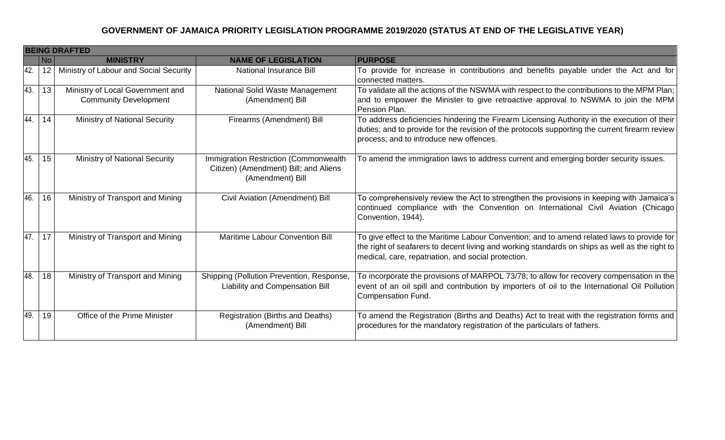|     | <b>BEING DRAFTED</b> |                                                                  |                                                                                                    |                                                                                                                                                                                                                                                     |  |
|-----|----------------------|------------------------------------------------------------------|----------------------------------------------------------------------------------------------------|-----------------------------------------------------------------------------------------------------------------------------------------------------------------------------------------------------------------------------------------------------|--|
|     | No                   | <b>MINISTRY</b>                                                  | <b>NAME OF LEGISLATION</b>                                                                         | <b>PURPOSE</b>                                                                                                                                                                                                                                      |  |
| 42. | 12                   | Ministry of Labour and Social Security                           | <b>National Insurance Bill</b>                                                                     | To provide for increase in contributions and benefits payable under the Act and for<br>connected matters.                                                                                                                                           |  |
| 43. | 13                   | Ministry of Local Government and<br><b>Community Development</b> | National Solid Waste Management<br>(Amendment) Bill                                                | To validate all the actions of the NSWMA with respect to the contributions to the MPM Plan;<br>and to empower the Minister to give retroactive approval to NSWMA to join the MPM<br>Pension Plan.                                                   |  |
| 44. | 14                   | <b>Ministry of National Security</b>                             | Firearms (Amendment) Bill                                                                          | To address deficiencies hindering the Firearm Licensing Authority in the execution of their<br>duties; and to provide for the revision of the protocols supporting the current firearm review<br>process; and to introduce new offences.            |  |
| 45. | 15                   | <b>Ministry of National Security</b>                             | Immigration Restriction (Commonwealth<br>Citizen) (Amendment) Bill; and Aliens<br>(Amendment) Bill | To amend the immigration laws to address current and emerging border security issues.                                                                                                                                                               |  |
| 46. | 16                   | Ministry of Transport and Mining                                 | Civil Aviation (Amendment) Bill                                                                    | To comprehensively review the Act to strengthen the provisions in keeping with Jamaica's<br>continued compliance with the Convention on International Civil Aviation (Chicago<br>Convention, 1944).                                                 |  |
| 47. | 17                   | Ministry of Transport and Mining                                 | Maritime Labour Convention Bill                                                                    | To give effect to the Maritime Labour Convention; and to amend related laws to provide for<br>the right of seafarers to decent living and working standards on ships as well as the right to<br>medical, care, repatriation, and social protection. |  |
| 48. | 18                   | Ministry of Transport and Mining                                 | Shipping (Pollution Prevention, Response,<br>Liability and Compensation Bill                       | To incorporate the provisions of MARPOL 73/78; to allow for recovery compensation in the<br>event of an oil spill and contribution by importers of oil to the International Oil Pollution<br><b>Compensation Fund.</b>                              |  |
| 49. | 19                   | Office of the Prime Minister                                     | Registration (Births and Deaths)<br>(Amendment) Bill                                               | To amend the Registration (Births and Deaths) Act to treat with the registration forms and<br>procedures for the mandatory registration of the particulars of fathers.                                                                              |  |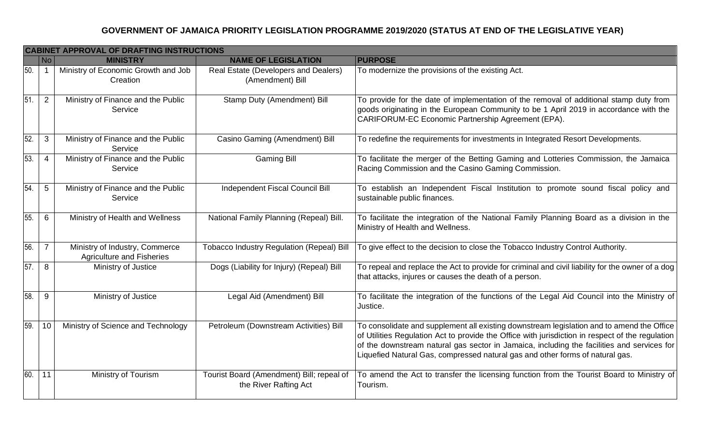|     | <b>CABINET APPROVAL OF DRAFTING INSTRUCTIONS</b> |                                                                    |                                                                    |                                                                                                                                                                                                                                                                                                                                                                              |  |
|-----|--------------------------------------------------|--------------------------------------------------------------------|--------------------------------------------------------------------|------------------------------------------------------------------------------------------------------------------------------------------------------------------------------------------------------------------------------------------------------------------------------------------------------------------------------------------------------------------------------|--|
|     | No                                               | <b>MINISTRY</b>                                                    | <b>NAME OF LEGISLATION</b>                                         | <b>PURPOSE</b>                                                                                                                                                                                                                                                                                                                                                               |  |
| 50. | -1                                               | Ministry of Economic Growth and Job<br>Creation                    | Real Estate (Developers and Dealers)<br>(Amendment) Bill           | To modernize the provisions of the existing Act.                                                                                                                                                                                                                                                                                                                             |  |
| 51  | 2                                                | Ministry of Finance and the Public<br>Service                      | Stamp Duty (Amendment) Bill                                        | To provide for the date of implementation of the removal of additional stamp duty from<br>goods originating in the European Community to be 1 April 2019 in accordance with the<br>CARIFORUM-EC Economic Partnership Agreement (EPA).                                                                                                                                        |  |
| 52. | 3                                                | Ministry of Finance and the Public<br>Service                      | Casino Gaming (Amendment) Bill                                     | To redefine the requirements for investments in Integrated Resort Developments.                                                                                                                                                                                                                                                                                              |  |
| 53. | $\overline{4}$                                   | Ministry of Finance and the Public<br>Service                      | <b>Gaming Bill</b>                                                 | To facilitate the merger of the Betting Gaming and Lotteries Commission, the Jamaica<br>Racing Commission and the Casino Gaming Commission.                                                                                                                                                                                                                                  |  |
| 54  | 5                                                | Ministry of Finance and the Public<br>Service                      | Independent Fiscal Council Bill                                    | To establish an Independent Fiscal Institution to promote sound fiscal policy and<br>sustainable public finances.                                                                                                                                                                                                                                                            |  |
| 55. | 6                                                | Ministry of Health and Wellness                                    | National Family Planning (Repeal) Bill.                            | To facilitate the integration of the National Family Planning Board as a division in the<br>Ministry of Health and Wellness.                                                                                                                                                                                                                                                 |  |
| 56. | $\overline{7}$                                   | Ministry of Industry, Commerce<br><b>Agriculture and Fisheries</b> | Tobacco Industry Regulation (Repeal) Bill                          | To give effect to the decision to close the Tobacco Industry Control Authority.                                                                                                                                                                                                                                                                                              |  |
| 57. | 8                                                | Ministry of Justice                                                | Dogs (Liability for Injury) (Repeal) Bill                          | To repeal and replace the Act to provide for criminal and civil liability for the owner of a dog<br>that attacks, injures or causes the death of a person.                                                                                                                                                                                                                   |  |
| 58. | 9                                                | Ministry of Justice                                                | Legal Aid (Amendment) Bill                                         | To facilitate the integration of the functions of the Legal Aid Council into the Ministry of<br>Justice.                                                                                                                                                                                                                                                                     |  |
| 59. | 10                                               | Ministry of Science and Technology                                 | Petroleum (Downstream Activities) Bill                             | To consolidate and supplement all existing downstream legislation and to amend the Office<br>of Utilities Regulation Act to provide the Office with jurisdiction in respect of the regulation<br>of the downstream natural gas sector in Jamaica, including the facilities and services for<br>Liquefied Natural Gas, compressed natural gas and other forms of natural gas. |  |
| 60. | 11                                               | Ministry of Tourism                                                | Tourist Board (Amendment) Bill; repeal of<br>the River Rafting Act | To amend the Act to transfer the licensing function from the Tourist Board to Ministry of<br>Tourism.                                                                                                                                                                                                                                                                        |  |